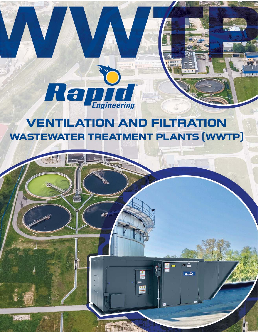

密

# **VENTILATION AND FILTRATION WASTEWATER TREATMENT PLANTS [WWTP]**

wa **m** 

 $Rank$